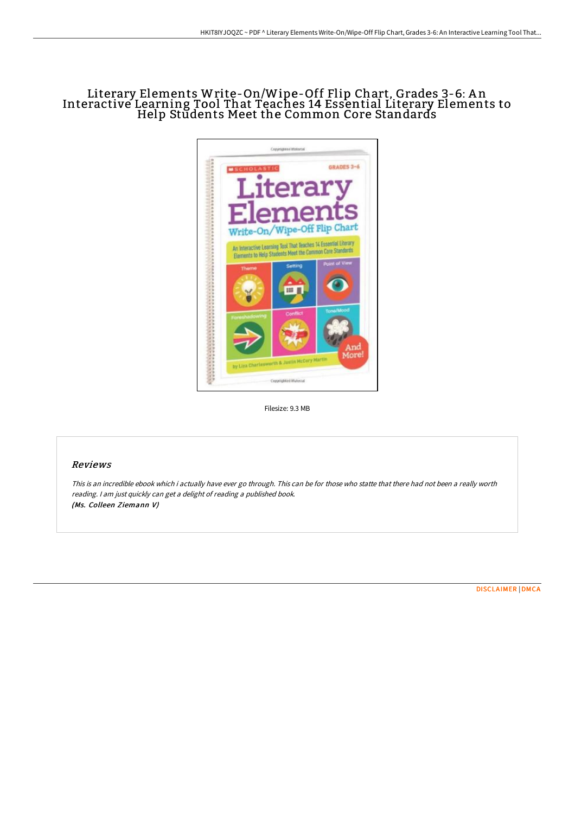# Literary Elements Write-On/Wipe-Off Flip Chart, Grades 3-6: A n Interactive Learning Tool That Teaches 14 Essential Literary Elements to Help Students Meet the Common Core Standards



Filesize: 9.3 MB

### Reviews

This is an incredible ebook which i actually have ever go through. This can be for those who statte that there had not been <sup>a</sup> really worth reading. <sup>I</sup> am just quickly can get <sup>a</sup> delight of reading <sup>a</sup> published book. (Ms. Colleen Ziemann V)

[DISCLAIMER](http://techno-pub.tech/disclaimer.html) | [DMCA](http://techno-pub.tech/dmca.html)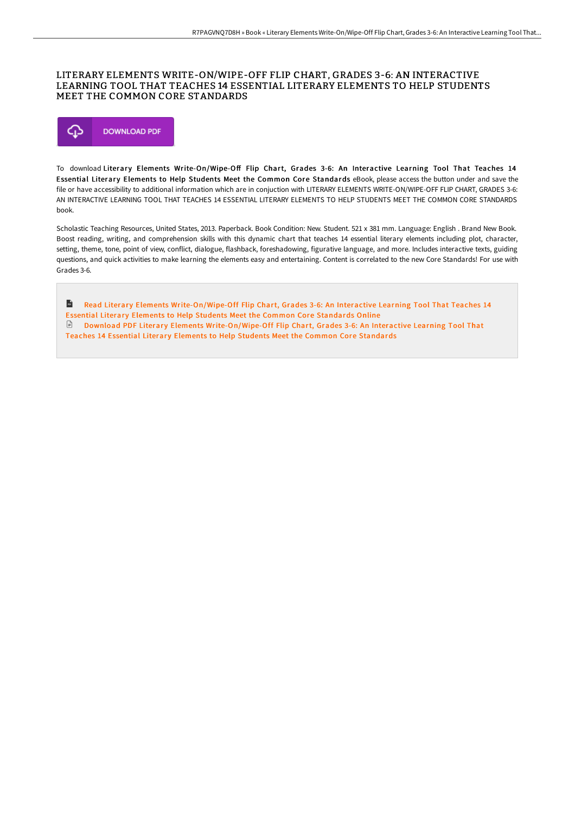### LITERARY ELEMENTS WRITE-ON/WIPE-OFF FLIP CHART, GRADES 3-6: AN INTERACTIVE LEARNING TOOL THAT TEACHES 14 ESSENTIAL LITERARY ELEMENTS TO HELP STUDENTS MEET THE COMMON CORE STANDARDS



To download Literary Elements Write-On/Wipe-Off Flip Chart, Grades 3-6: An Interactive Learning Tool That Teaches 14 Essential Literary Elements to Help Students Meet the Common Core Standards eBook, please access the button under and save the file or have accessibility to additional information which are in conjuction with LITERARY ELEMENTS WRITE-ON/WIPE-OFF FLIP CHART, GRADES 3-6: AN INTERACTIVE LEARNING TOOL THAT TEACHES 14 ESSENTIAL LITERARY ELEMENTS TO HELP STUDENTS MEET THE COMMON CORE STANDARDS book.

Scholastic Teaching Resources, United States, 2013. Paperback. Book Condition: New. Student. 521 x 381 mm. Language: English . Brand New Book. Boost reading, writing, and comprehension skills with this dynamic chart that teaches 14 essential literary elements including plot, character, setting, theme, tone, point of view, conflict, dialogue, flashback, foreshadowing, figurative language, and more. Includes interactive texts, guiding questions, and quick activities to make learning the elements easy and entertaining. Content is correlated to the new Core Standards! For use with Grades 3-6.

 $\mathbf{m}$ Read Literary Elements [Write-On/Wipe-Off](http://techno-pub.tech/literary-elements-write-on-x2f-wipe-off-flip-cha.html) Flip Chart, Grades 3-6: An Interactive Learning Tool That Teaches 14 Essential Literary Elements to Help Students Meet the Common Core Standards Online Download PDF Literary Elements [Write-On/Wipe-Off](http://techno-pub.tech/literary-elements-write-on-x2f-wipe-off-flip-cha.html) Flip Chart, Grades 3-6: An Interactive Learning Tool That Teaches 14 Essential Literary Elements to Help Students Meet the Common Core Standards